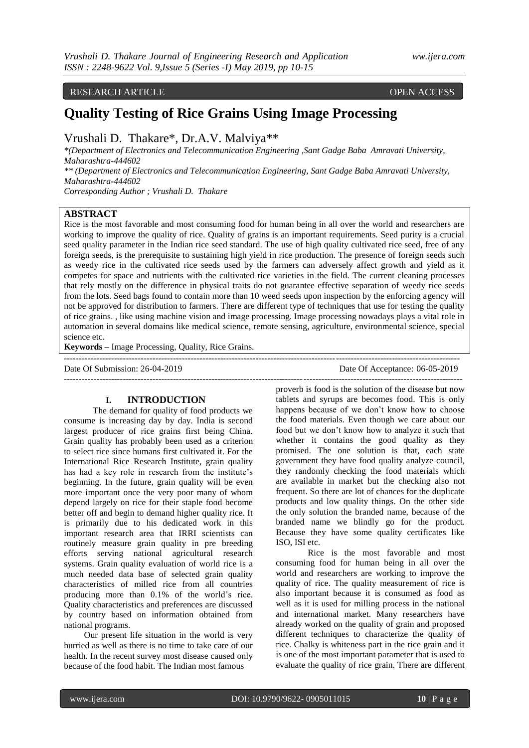# RESEARCH ARTICLE OPEN ACCESS

# **Quality Testing of Rice Grains Using Image Processing**

# Vrushali D. Thakare\*, Dr.A.V. Malviya\*\*

*\*(Department of Electronics and Telecommunication Engineering ,Sant Gadge Baba Amravati University, Maharashtra-444602*

*\*\* (Department of Electronics and Telecommunication Engineering, Sant Gadge Baba Amravati University, Maharashtra-444602*

*Corresponding Author ; Vrushali D. Thakare*

# **ABSTRACT**

Rice is the most favorable and most consuming food for human being in all over the world and researchers are working to improve the quality of rice. Quality of grains is an important requirements. Seed purity is a crucial seed quality parameter in the Indian rice seed standard. The use of high quality cultivated rice seed, free of any foreign seeds, is the prerequisite to sustaining high yield in rice production. The presence of foreign seeds such as weedy rice in the cultivated rice seeds used by the farmers can adversely affect growth and yield as it competes for space and nutrients with the cultivated rice varieties in the field. The current cleaning processes that rely mostly on the difference in physical traits do not guarantee effective separation of weedy rice seeds from the lots. Seed bags found to contain more than 10 weed seeds upon inspection by the enforcing agency will not be approved for distribution to farmers. There are different type of techniques that use for testing the quality of rice grains. , like using machine vision and image processing. Image processing nowadays plays a vital role in automation in several domains like medical science, remote sensing, agriculture, environmental science, special science etc.

--------------------------------------------------------------------------------------------------------------------------------------

**Keywords –** Image Processing, Quality, Rice Grains.

Date Of Submission: 26-04-2019 Date Of Acceptance: 06-05-2019 ---------------------------------------------------------------------------------------------------------------------------------------

## **I. INTRODUCTION**

 The demand for quality of food products we consume is increasing day by day. India is second largest producer of rice grains first being China. Grain quality has probably been used as a criterion to select rice since humans first cultivated it. For the International Rice Research Institute, grain quality has had a key role in research from the institute's beginning. In the future, grain quality will be even more important once the very poor many of whom depend largely on rice for their staple food become better off and begin to demand higher quality rice. It is primarily due to his dedicated work in this important research area that IRRI scientists can routinely measure grain quality in pre breeding efforts serving national agricultural research systems. Grain quality evaluation of world rice is a much needed data base of selected grain quality characteristics of milled rice from all countries producing more than 0.1% of the world"s rice. Quality characteristics and preferences are discussed by country based on information obtained from national programs.

 Our present life situation in the world is very hurried as well as there is no time to take care of our health. In the recent survey most disease caused only because of the food habit. The Indian most famous

proverb is food is the solution of the disease but now tablets and syrups are becomes food. This is only happens because of we don"t know how to choose the food materials. Even though we care about our food but we don"t know how to analyze it such that whether it contains the good quality as they promised. The one solution is that, each state government they have food quality analyze council, they randomly checking the food materials which are available in market but the checking also not frequent. So there are lot of chances for the duplicate products and low quality things. On the other side the only solution the branded name, because of the branded name we blindly go for the product. Because they have some quality certificates like ISO, ISI etc.

Rice is the most favorable and most consuming food for human being in all over the world and researchers are working to improve the quality of rice. The quality measurement of rice is also important because it is consumed as food as well as it is used for milling process in the national and international market. Many researchers have already worked on the quality of grain and proposed different techniques to characterize the quality of rice. Chalky is whiteness part in the rice grain and it is one of the most important parameter that is used to evaluate the quality of rice grain. There are different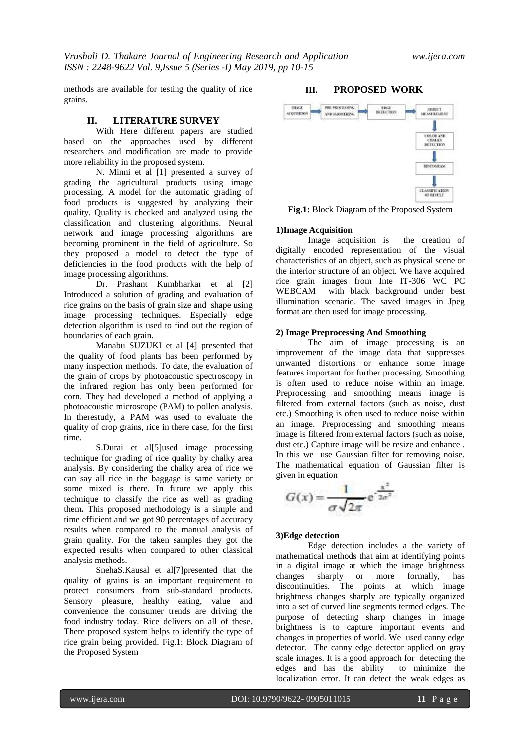methods are available for testing the quality of rice grains.

#### **II. LITERATURE SURVEY**

With Here different papers are studied based on the approaches used by different researchers and modification are made to provide more reliability in the proposed system.

N. Minni et al [1] presented a survey of grading the agricultural products using image processing. A model for the automatic grading of food products is suggested by analyzing their quality. Quality is checked and analyzed using the classification and clustering algorithms. Neural network and image processing algorithms are becoming prominent in the field of agriculture. So they proposed a model to detect the type of deficiencies in the food products with the help of image processing algorithms.

Dr. Prashant Kumbharkar et al [2] Introduced a solution of grading and evaluation of rice grains on the basis of grain size and shape using image processing techniques. Especially edge detection algorithm is used to find out the region of boundaries of each grain.

Manabu SUZUKI et al [4] presented that the quality of food plants has been performed by many inspection methods. To date, the evaluation of the grain of crops by photoacoustic spectroscopy in the infrared region has only been performed for corn. They had developed a method of applying a photoacoustic microscope (PAM) to pollen analysis. In therestudy, a PAM was used to evaluate the quality of crop grains, rice in there case, for the first time.

S.Durai et al[5]used image processing technique for grading of rice quality by chalky area analysis. By considering the chalky area of rice we can say all rice in the baggage is same variety or some mixed is there. In future we apply this technique to classify the rice as well as grading them**.** This proposed methodology is a simple and time efficient and we got 90 percentages of accuracy results when compared to the manual analysis of grain quality. For the taken samples they got the expected results when compared to other classical analysis methods.

SnehaS.Kausal et al[7]presented that the quality of grains is an important requirement to protect consumers from sub-standard products. Sensory pleasure, healthy eating, value and convenience the consumer trends are driving the food industry today. Rice delivers on all of these. There proposed system helps to identify the type of rice grain being provided. Fig.1: Block Diagram of the Proposed System

# **III. PROPOSED WORK**



**Fig.1:** Block Diagram of the Proposed System

# **1)Image Acquisition**

Image acquisition is the creation of digitally encoded representation of the visual characteristics of an object, such as physical scene or the interior structure of an object. We have acquired rice grain images from Inte IT-306 WC PC WEBCAM with black background under best illumination scenario. The saved images in Jpeg format are then used for image processing.

#### **2) Image Preprocessing And Smoothing**

The aim of image processing is an improvement of the image data that suppresses unwanted distortions or enhance some image features important for further processing. Smoothing is often used to reduce noise within an image. Preprocessing and smoothing means image is filtered from external factors (such as noise, dust etc.) Smoothing is often used to reduce noise within an image. Preprocessing and smoothing means image is filtered from external factors (such as noise, dust etc.) Capture image will be resize and enhance . In this we use Gaussian filter for removing noise. The mathematical equation of Gaussian filter is given in equation

$$
G(x) = \frac{1}{\sigma \sqrt{2\pi}} e^{-\frac{x^2}{2\sigma^2}}
$$

#### **3)Edge detection**

Edge detection includes a the variety of mathematical methods that aim at identifying points in a digital image at which the image brightness changes sharply or more formally, has discontinuities. The points at which image brightness changes sharply are typically organized into a set of curved line segments termed edges. The purpose of detecting sharp changes in image brightness is to capture important events and changes in properties of world. We used canny edge detector. The canny edge detector applied on gray scale images. It is a good approach for detecting the edges and has the ability to minimize the localization error. It can detect the weak edges as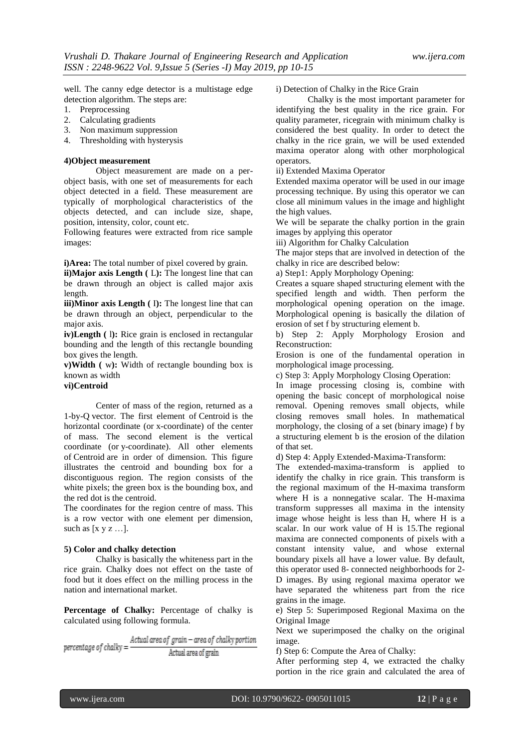well. The canny edge detector is a multistage edge detection algorithm. The steps are:

- 1. Preprocessing
- 2. Calculating gradients
- 3. Non maximum suppression
- 4. Thresholding with hysterysis

#### **4)Object measurement**

Object measurement are made on a perobject basis, with one set of measurements for each object detected in a field. These measurement are typically of morphological characteristics of the objects detected, and can include size, shape, position, intensity, color, count etc.

Following features were extracted from rice sample images:

**i)Area:** The total number of pixel covered by grain.

**ii**)Major axis Length (L): The longest line that can be drawn through an object is called major axis length.

**iii**)Minor axis Length (I): The longest line that can be drawn through an object, perpendicular to the major axis.

**iv)Length (1):** Rice grain is enclosed in rectangular bounding and the length of this rectangle bounding box gives the length.

**v)Width (** w**):** Width of rectangle bounding box is known as width

**vi)Centroid**

Center of mass of the region, returned as a 1-by-Q vector. The first element of Centroid is the horizontal coordinate (or x-coordinate) of the center of mass. The second element is the vertical coordinate (or y-coordinate). All other elements of Centroid are in order of dimension. This figure illustrates the centroid and bounding box for a discontiguous region. The region consists of the white pixels; the green box is the bounding box, and the red dot is the centroid.

The coordinates for the region centre of mass. This is a row vector with one element per dimension, such as  $[x \, y \, z \, \dots]$ .

#### **5) Color and chalky detection**

Chalky is basically the whiteness part in the rice grain. Chalky does not effect on the taste of food but it does effect on the milling process in the nation and international market.

**Percentage of Chalky:** Percentage of chalky is calculated using following formula.

Actual area of grain - area of chalky portion percentage of chalky = -Actual area of grain

i) Detection of Chalky in the Rice Grain

Chalky is the most important parameter for identifying the best quality in the rice grain. For quality parameter, ricegrain with minimum chalky is considered the best quality. In order to detect the chalky in the rice grain, we will be used extended maxima operator along with other morphological operators.

ii) Extended Maxima Operator

Extended maxima operator will be used in our image processing technique. By using this operator we can close all minimum values in the image and highlight the high values.

We will be separate the chalky portion in the grain images by applying this operator

iii) Algorithm for Chalky Calculation

The major steps that are involved in detection of the chalky in rice are described below:

a) Step1: Apply Morphology Opening:

Creates a square shaped structuring element with the specified length and width. Then perform the morphological opening operation on the image. Morphological opening is basically the dilation of erosion of set f by structuring element b.

b) Step 2: Apply Morphology Erosion and Reconstruction:

Erosion is one of the fundamental operation in morphological image processing.

c) Step 3: Apply Morphology Closing Operation:

In image processing closing is, combine with opening the basic concept of morphological noise removal. Opening removes small objects, while closing removes small holes. In mathematical morphology, the closing of a set (binary image) f by a structuring element b is the erosion of the dilation of that set.

d) Step 4: Apply Extended-Maxima-Transform:

The extended-maxima-transform is applied to identify the chalky in rice grain. This transform is the regional maximum of the H-maxima transform where H is a nonnegative scalar. The H-maxima transform suppresses all maxima in the intensity image whose height is less than H, where H is a scalar. In our work value of H is 15.The regional maxima are connected components of pixels with a constant intensity value, and whose external boundary pixels all have a lower value. By default, this operator used 8- connected neighborhoods for 2- D images. By using regional maxima operator we have separated the whiteness part from the rice grains in the image.

e) Step 5: Superimposed Regional Maxima on the Original Image

Next we superimposed the chalky on the original image.

f) Step 6: Compute the Area of Chalky:

After performing step 4, we extracted the chalky portion in the rice grain and calculated the area of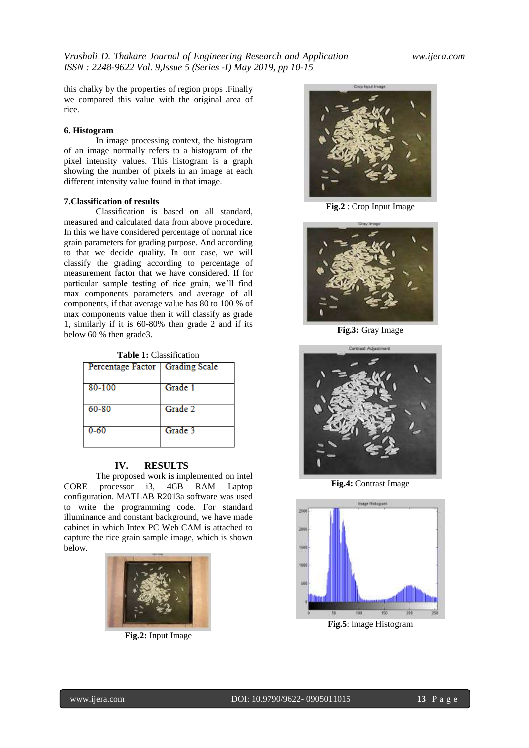this chalky by the properties of region props .Finally we compared this value with the original area of rice.

#### **6. Histogram**

In image processing context, the histogram of an image normally refers to a histogram of the pixel intensity values. This histogram is a graph showing the number of pixels in an image at each different intensity value found in that image.

#### **7.Classification of results**

Classification is based on all standard, measured and calculated data from above procedure. In this we have considered percentage of normal rice grain parameters for grading purpose. And according to that we decide quality. In our case, we will classify the grading according to percentage of measurement factor that we have considered. If for particular sample testing of rice grain, we"ll find max components parameters and average of all components, if that average value has 80 to 100 % of max components value then it will classify as grade 1, similarly if it is 60-80% then grade 2 and if its below 60 % then grade3.

**Table 1:** Classification

| Percentage Factor   Grading Scale |         |
|-----------------------------------|---------|
| 80-100                            | Grade 1 |
| 60-80                             | Grade 2 |
| $0 - 60$                          | Grade 3 |

#### **IV. RESULTS**

The proposed work is implemented on intel CORE processor i3, 4GB RAM Laptop configuration. MATLAB R2013a software was used to write the programming code. For standard illuminance and constant background, we have made cabinet in which Intex PC Web CAM is attached to capture the rice grain sample image, which is shown below.



**Fig.2:** Input Image



**Fig.2** : Crop Input Image



**Fig.3:** Gray Image



**Fig.4:** Contrast Image

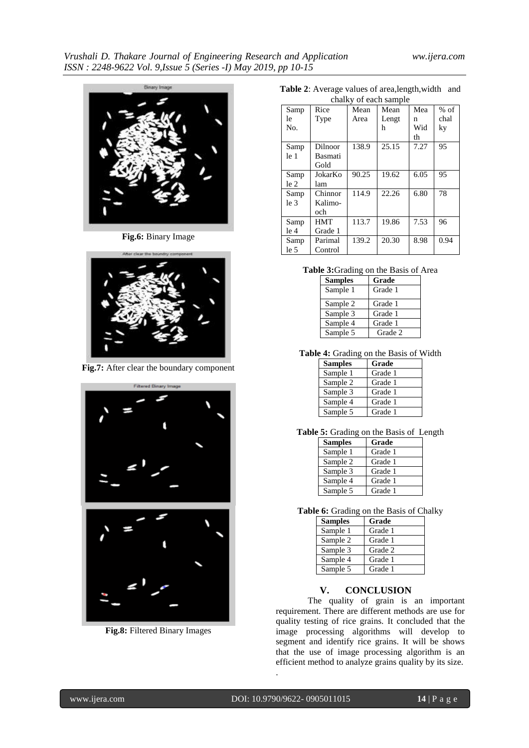

**Fig.6:** Binary Image



**Fig.7:** After clear the boundary component



**Fig.8:** Filtered Binary Images

**Table 2**: Average values of area,length,width and

| chalky of each sample |         |       |       |      |        |
|-----------------------|---------|-------|-------|------|--------|
| Samp                  | Rice    | Mean  | Mean  | Mea  | $%$ of |
| le                    | Type    | Area  | Lengt | n    | chal   |
| No.                   |         |       | h     | Wid  | ky     |
|                       |         |       |       | th   |        |
| Samp                  | Dilnoor | 138.9 | 25.15 | 7.27 | 95     |
| le 1                  | Basmati |       |       |      |        |
|                       | Gold    |       |       |      |        |
| Samp                  | JokarKo | 90.25 | 19.62 | 6.05 | 95     |
| le 2                  | lam     |       |       |      |        |
| Samp                  | Chinnor | 114.9 | 22.26 | 6.80 | 78     |
| $leq$ 3               | Kalimo- |       |       |      |        |
|                       | och     |       |       |      |        |
| Samp                  | HMT     | 113.7 | 19.86 | 7.53 | 96     |
| le 4                  | Grade 1 |       |       |      |        |
| Samp                  | Parimal | 139.2 | 20.30 | 8.98 | 0.94   |
| le 5                  | Control |       |       |      |        |

**Table 3:**Grading on the Basis of Area

| <b>Samples</b> | Grade   |
|----------------|---------|
| Sample 1       | Grade 1 |
| Sample 2       | Grade 1 |
| Sample 3       | Grade 1 |
| Sample 4       | Grade 1 |
| Sample 5       | Grade 2 |

**Table 4:** Grading on the Basis of Width

| <b>Samples</b> | Grade   |
|----------------|---------|
| Sample 1       | Grade 1 |
| Sample 2       | Grade 1 |
| Sample 3       | Grade 1 |
| Sample 4       | Grade 1 |
| Sample 5       | Grade 1 |

**Table 5:** Grading on the Basis of Length

| <b>Samples</b> | Grade   |
|----------------|---------|
| Sample 1       | Grade 1 |
| Sample 2       | Grade 1 |
| Sample 3       | Grade 1 |
| Sample 4       | Grade 1 |
| Sample 5       | Grade 1 |

**Table 6:** Grading on the Basis of Chalky

| <b>Samples</b> | Grade   |
|----------------|---------|
| Sample 1       | Grade 1 |
| Sample 2       | Grade 1 |
| Sample 3       | Grade 2 |
| Sample 4       | Grade 1 |
| Sample 5       | Grade 1 |

# **V. CONCLUSION**

The quality of grain is an important requirement. There are different methods are use for quality testing of rice grains. It concluded that the image processing algorithms will develop to segment and identify rice grains. It will be shows that the use of image processing algorithm is an efficient method to analyze grains quality by its size.

.